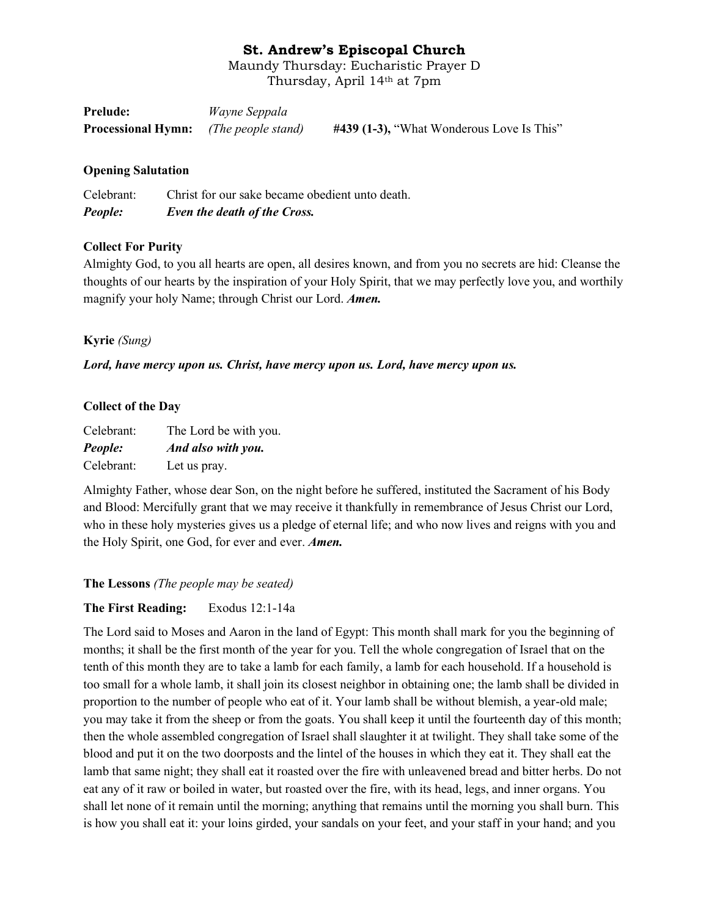Maundy Thursday: Eucharistic Prayer D Thursday, April 14th at 7pm

| <b>Prelude:</b>                              | Wayne Seppala |                                           |
|----------------------------------------------|---------------|-------------------------------------------|
| <b>Processional Hymn:</b> (The people stand) |               | #439 (1-3), "What Wonderous Love Is This" |

#### **Opening Salutation**

Celebrant: Christ for our sake became obedient unto death. *People: Even the death of the Cross.*

#### **Collect For Purity**

Almighty God, to you all hearts are open, all desires known, and from you no secrets are hid: Cleanse the thoughts of our hearts by the inspiration of your Holy Spirit, that we may perfectly love you, and worthily magnify your holy Name; through Christ our Lord. *Amen.*

#### **Kyrie** *(Sung)*

*Lord, have mercy upon us. Christ, have mercy upon us. Lord, have mercy upon us.*

#### **Collect of the Day**

| Celebrant: | The Lord be with you. |
|------------|-----------------------|
| People:    | And also with you.    |
| Celebrant: | Let us pray.          |

Almighty Father, whose dear Son, on the night before he suffered, instituted the Sacrament of his Body and Blood: Mercifully grant that we may receive it thankfully in remembrance of Jesus Christ our Lord, who in these holy mysteries gives us a pledge of eternal life; and who now lives and reigns with you and the Holy Spirit, one God, for ever and ever. *Amen.*

#### **The Lessons** *(The people may be seated)*

#### **The First Reading:** Exodus 12:1-14a

The Lord said to Moses and Aaron in the land of Egypt: This month shall mark for you the beginning of months; it shall be the first month of the year for you. Tell the whole congregation of Israel that on the tenth of this month they are to take a lamb for each family, a lamb for each household. If a household is too small for a whole lamb, it shall join its closest neighbor in obtaining one; the lamb shall be divided in proportion to the number of people who eat of it. Your lamb shall be without blemish, a year-old male; you may take it from the sheep or from the goats. You shall keep it until the fourteenth day of this month; then the whole assembled congregation of Israel shall slaughter it at twilight. They shall take some of the blood and put it on the two doorposts and the lintel of the houses in which they eat it. They shall eat the lamb that same night; they shall eat it roasted over the fire with unleavened bread and bitter herbs. Do not eat any of it raw or boiled in water, but roasted over the fire, with its head, legs, and inner organs. You shall let none of it remain until the morning; anything that remains until the morning you shall burn. This is how you shall eat it: your loins girded, your sandals on your feet, and your staff in your hand; and you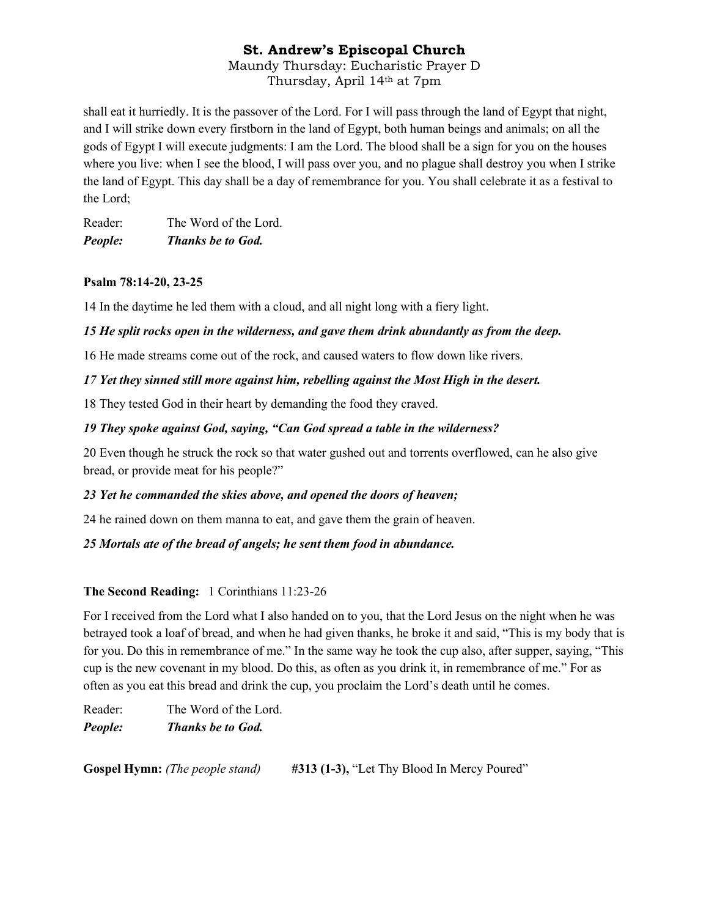Maundy Thursday: Eucharistic Prayer D Thursday, April 14th at 7pm

shall eat it hurriedly. It is the passover of the Lord. For I will pass through the land of Egypt that night, and I will strike down every firstborn in the land of Egypt, both human beings and animals; on all the gods of Egypt I will execute judgments: I am the Lord. The blood shall be a sign for you on the houses where you live: when I see the blood, I will pass over you, and no plague shall destroy you when I strike the land of Egypt. This day shall be a day of remembrance for you. You shall celebrate it as a festival to the Lord;

Reader: The Word of the Lord. *People: Thanks be to God.*

#### **Psalm 78:14-20, 23-25**

14 In the daytime he led them with a cloud, and all night long with a fiery light.

### *15 He split rocks open in the wilderness, and gave them drink abundantly as from the deep.*

16 He made streams come out of the rock, and caused waters to flow down like rivers.

### *17 Yet they sinned still more against him, rebelling against the Most High in the desert.*

18 They tested God in their heart by demanding the food they craved.

#### *19 They spoke against God, saying, "Can God spread a table in the wilderness?*

20 Even though he struck the rock so that water gushed out and torrents overflowed, can he also give bread, or provide meat for his people?"

#### *23 Yet he commanded the skies above, and opened the doors of heaven;*

24 he rained down on them manna to eat, and gave them the grain of heaven.

### *25 Mortals ate of the bread of angels; he sent them food in abundance.*

### **The Second Reading:** 1 Corinthians 11:23-26

For I received from the Lord what I also handed on to you, that the Lord Jesus on the night when he was betrayed took a loaf of bread, and when he had given thanks, he broke it and said, "This is my body that is for you. Do this in remembrance of me." In the same way he took the cup also, after supper, saying, "This cup is the new covenant in my blood. Do this, as often as you drink it, in remembrance of me." For as often as you eat this bread and drink the cup, you proclaim the Lord's death until he comes.

Reader: The Word of the Lord. *People: Thanks be to God.*

**Gospel Hymn:** *(The people stand)* **#313 (1-3),** "Let Thy Blood In Mercy Poured"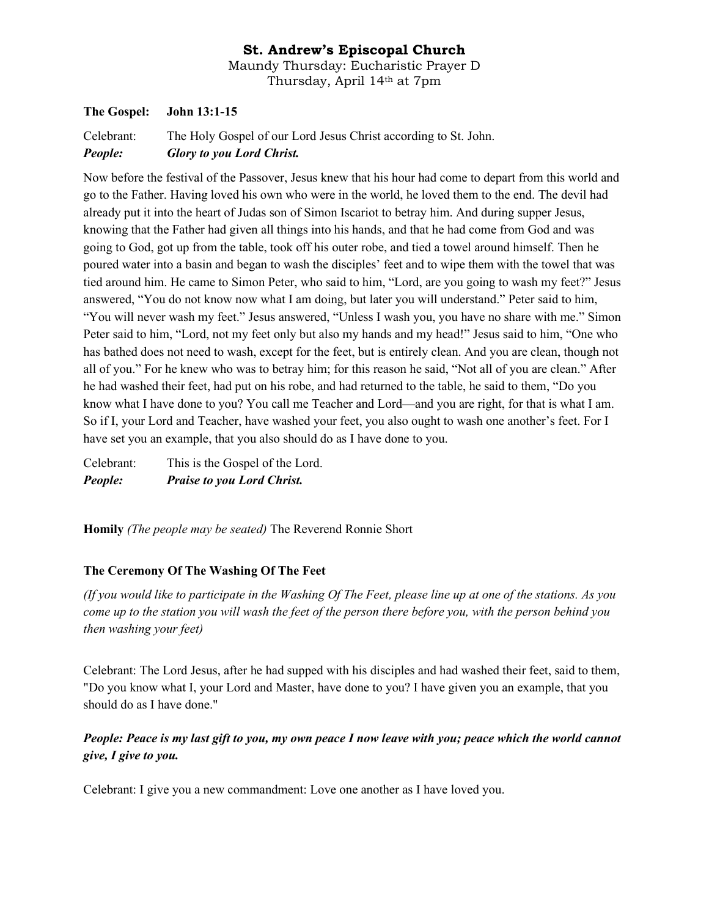Maundy Thursday: Eucharistic Prayer D Thursday, April 14th at 7pm

**The Gospel: John 13:1-15** Celebrant: The Holy Gospel of our Lord Jesus Christ according to St. John. *People: Glory to you Lord Christ.*

Now before the festival of the Passover, Jesus knew that his hour had come to depart from this world and go to the Father. Having loved his own who were in the world, he loved them to the end. The devil had already put it into the heart of Judas son of Simon Iscariot to betray him. And during supper Jesus, knowing that the Father had given all things into his hands, and that he had come from God and was going to God, got up from the table, took off his outer robe, and tied a towel around himself. Then he poured water into a basin and began to wash the disciples' feet and to wipe them with the towel that was tied around him. He came to Simon Peter, who said to him, "Lord, are you going to wash my feet?" Jesus answered, "You do not know now what I am doing, but later you will understand." Peter said to him, "You will never wash my feet." Jesus answered, "Unless I wash you, you have no share with me." Simon Peter said to him, "Lord, not my feet only but also my hands and my head!" Jesus said to him, "One who has bathed does not need to wash, except for the feet, but is entirely clean. And you are clean, though not all of you." For he knew who was to betray him; for this reason he said, "Not all of you are clean." After he had washed their feet, had put on his robe, and had returned to the table, he said to them, "Do you know what I have done to you? You call me Teacher and Lord—and you are right, for that is what I am. So if I, your Lord and Teacher, have washed your feet, you also ought to wash one another's feet. For I have set you an example, that you also should do as I have done to you.

Celebrant: This is the Gospel of the Lord. *People: Praise to you Lord Christ.*

**Homily** *(The people may be seated)* The Reverend Ronnie Short

### **The Ceremony Of The Washing Of The Feet**

*(If you would like to participate in the Washing Of The Feet, please line up at one of the stations. As you come up to the station you will wash the feet of the person there before you, with the person behind you then washing your feet)*

Celebrant: The Lord Jesus, after he had supped with his disciples and had washed their feet, said to them, "Do you know what I, your Lord and Master, have done to you? I have given you an example, that you should do as I have done."

### *People: Peace is my last gift to you, my own peace I now leave with you; peace which the world cannot give, I give to you.*

Celebrant: I give you a new commandment: Love one another as I have loved you.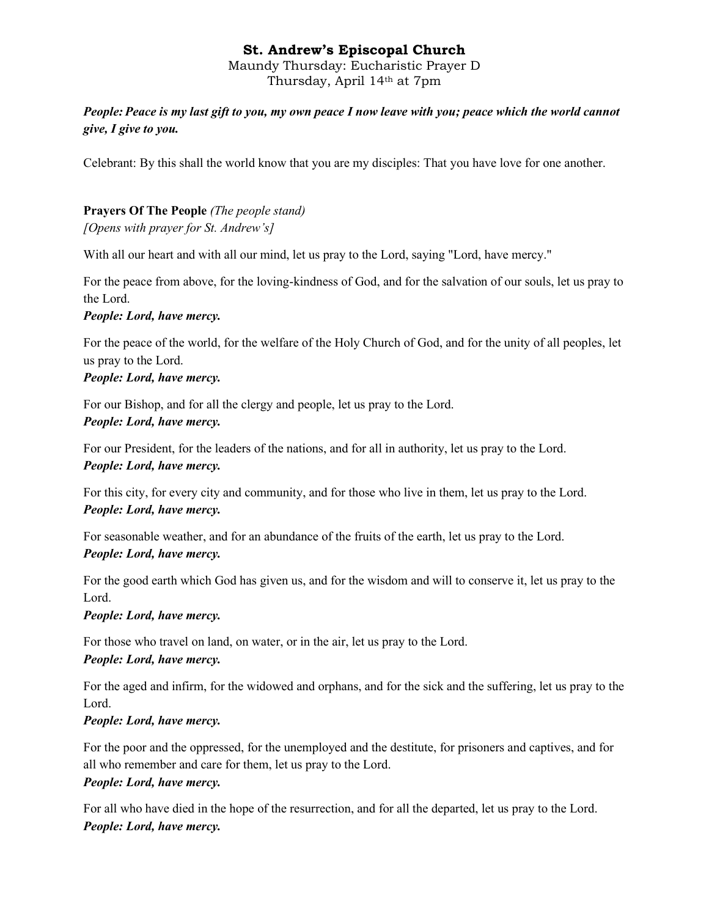Maundy Thursday: Eucharistic Prayer D Thursday, April 14th at 7pm

*People: Peace is my last gift to you, my own peace I now leave with you; peace which the world cannot give, I give to you.*

Celebrant: By this shall the world know that you are my disciples: That you have love for one another.

## **Prayers Of The People** *(The people stand)*

*[Opens with prayer for St. Andrew's]*

With all our heart and with all our mind, let us pray to the Lord, saying "Lord, have mercy."

For the peace from above, for the loving-kindness of God, and for the salvation of our souls, let us pray to the Lord.

### *People: Lord, have mercy.*

For the peace of the world, for the welfare of the Holy Church of God, and for the unity of all peoples, let us pray to the Lord.

#### *People: Lord, have mercy.*

For our Bishop, and for all the clergy and people, let us pray to the Lord. *People: Lord, have mercy.*

For our President, for the leaders of the nations, and for all in authority, let us pray to the Lord. *People: Lord, have mercy.*

For this city, for every city and community, and for those who live in them, let us pray to the Lord. *People: Lord, have mercy.*

For seasonable weather, and for an abundance of the fruits of the earth, let us pray to the Lord.

### *People: Lord, have mercy.*

For the good earth which God has given us, and for the wisdom and will to conserve it, let us pray to the Lord.

### *People: Lord, have mercy.*

For those who travel on land, on water, or in the air, let us pray to the Lord. *People: Lord, have mercy.*

For the aged and infirm, for the widowed and orphans, and for the sick and the suffering, let us pray to the Lord.

### *People: Lord, have mercy.*

For the poor and the oppressed, for the unemployed and the destitute, for prisoners and captives, and for all who remember and care for them, let us pray to the Lord.

### *People: Lord, have mercy.*

For all who have died in the hope of the resurrection, and for all the departed, let us pray to the Lord. *People: Lord, have mercy.*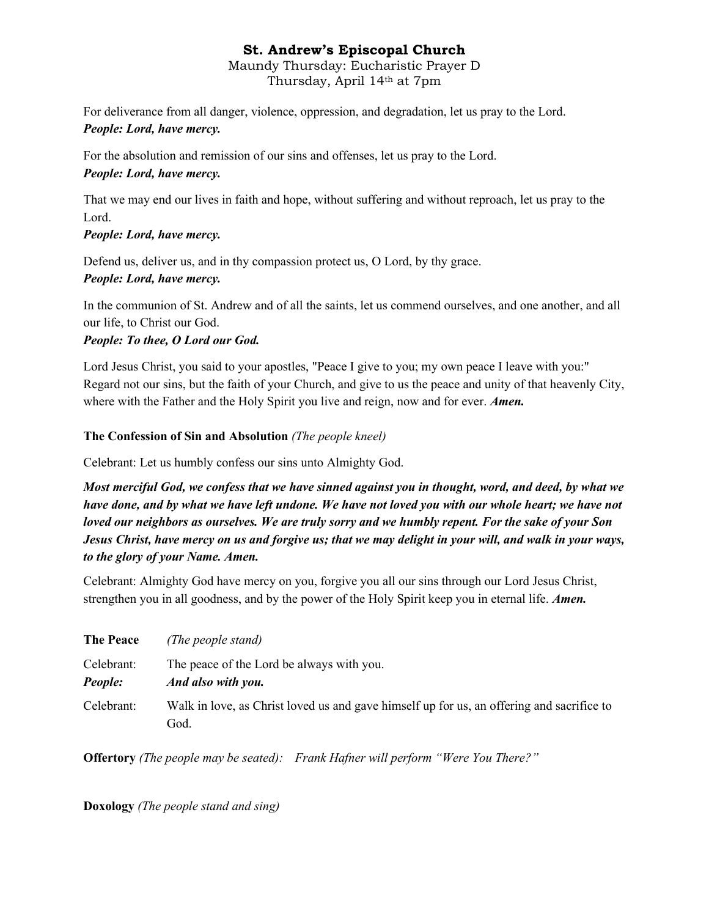Maundy Thursday: Eucharistic Prayer D Thursday, April 14th at 7pm

For deliverance from all danger, violence, oppression, and degradation, let us pray to the Lord. *People: Lord, have mercy.*

For the absolution and remission of our sins and offenses, let us pray to the Lord. *People: Lord, have mercy.*

That we may end our lives in faith and hope, without suffering and without reproach, let us pray to the Lord.

### *People: Lord, have mercy.*

Defend us, deliver us, and in thy compassion protect us, O Lord, by thy grace. *People: Lord, have mercy.*

In the communion of St. Andrew and of all the saints, let us commend ourselves, and one another, and all our life, to Christ our God.

### *People: To thee, O Lord our God.*

Lord Jesus Christ, you said to your apostles, "Peace I give to you; my own peace I leave with you:" Regard not our sins, but the faith of your Church, and give to us the peace and unity of that heavenly City, where with the Father and the Holy Spirit you live and reign, now and for ever. *Amen.*

### **The Confession of Sin and Absolution** *(The people kneel)*

Celebrant: Let us humbly confess our sins unto Almighty God.

*Most merciful God, we confess that we have sinned against you in thought, word, and deed, by what we have done, and by what we have left undone. We have not loved you with our whole heart; we have not loved our neighbors as ourselves. We are truly sorry and we humbly repent. For the sake of your Son Jesus Christ, have mercy on us and forgive us; that we may delight in your will, and walk in your ways, to the glory of your Name. Amen.*

Celebrant: Almighty God have mercy on you, forgive you all our sins through our Lord Jesus Christ, strengthen you in all goodness, and by the power of the Holy Spirit keep you in eternal life. *Amen.*

| <b>The Peace</b>             | (The people stand)                                                                                |
|------------------------------|---------------------------------------------------------------------------------------------------|
| Celebrant:<br><b>People:</b> | The peace of the Lord be always with you.<br>And also with you.                                   |
| Celebrant:                   | Walk in love, as Christ loved us and gave himself up for us, an offering and sacrifice to<br>God. |

**Offertory** *(The people may be seated): Frank Hafner will perform "Were You There?"*

**Doxology** *(The people stand and sing)*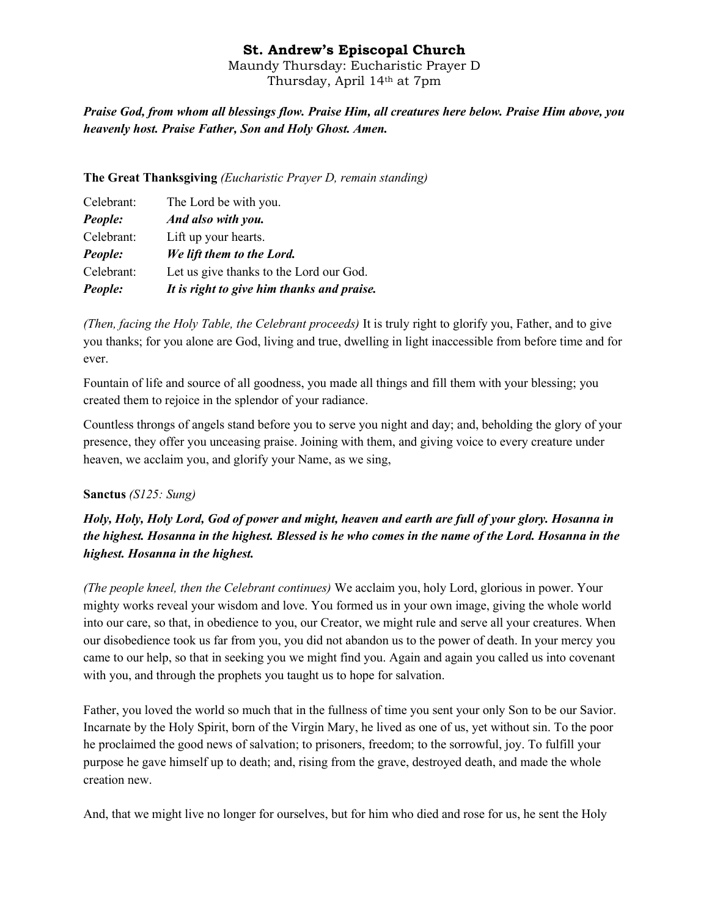Maundy Thursday: Eucharistic Prayer D Thursday, April 14th at 7pm

*Praise God, from whom all blessings flow. Praise Him, all creatures here below. Praise Him above, you heavenly host. Praise Father, Son and Holy Ghost. Amen.*

**The Great Thanksgiving** *(Eucharistic Prayer D, remain standing)*

| People:    | It is right to give him thanks and praise. |  |
|------------|--------------------------------------------|--|
| Celebrant: | Let us give thanks to the Lord our God.    |  |
| People:    | We lift them to the Lord.                  |  |
| Celebrant: | Lift up your hearts.                       |  |
| People:    | And also with you.                         |  |
| Celebrant: | The Lord be with you.                      |  |
|            |                                            |  |

*(Then, facing the Holy Table, the Celebrant proceeds)* It is truly right to glorify you, Father, and to give you thanks; for you alone are God, living and true, dwelling in light inaccessible from before time and for ever.

Fountain of life and source of all goodness, you made all things and fill them with your blessing; you created them to rejoice in the splendor of your radiance.

Countless throngs of angels stand before you to serve you night and day; and, beholding the glory of your presence, they offer you unceasing praise. Joining with them, and giving voice to every creature under heaven, we acclaim you, and glorify your Name, as we sing,

### **Sanctus** *(S125: Sung)*

### *Holy, Holy, Holy Lord, God of power and might, heaven and earth are full of your glory. Hosanna in the highest. Hosanna in the highest. Blessed is he who comes in the name of the Lord. Hosanna in the highest. Hosanna in the highest.*

*(The people kneel, then the Celebrant continues)* We acclaim you, holy Lord, glorious in power. Your mighty works reveal your wisdom and love. You formed us in your own image, giving the whole world into our care, so that, in obedience to you, our Creator, we might rule and serve all your creatures. When our disobedience took us far from you, you did not abandon us to the power of death. In your mercy you came to our help, so that in seeking you we might find you. Again and again you called us into covenant with you, and through the prophets you taught us to hope for salvation.

Father, you loved the world so much that in the fullness of time you sent your only Son to be our Savior. Incarnate by the Holy Spirit, born of the Virgin Mary, he lived as one of us, yet without sin. To the poor he proclaimed the good news of salvation; to prisoners, freedom; to the sorrowful, joy. To fulfill your purpose he gave himself up to death; and, rising from the grave, destroyed death, and made the whole creation new.

And, that we might live no longer for ourselves, but for him who died and rose for us, he sent the Holy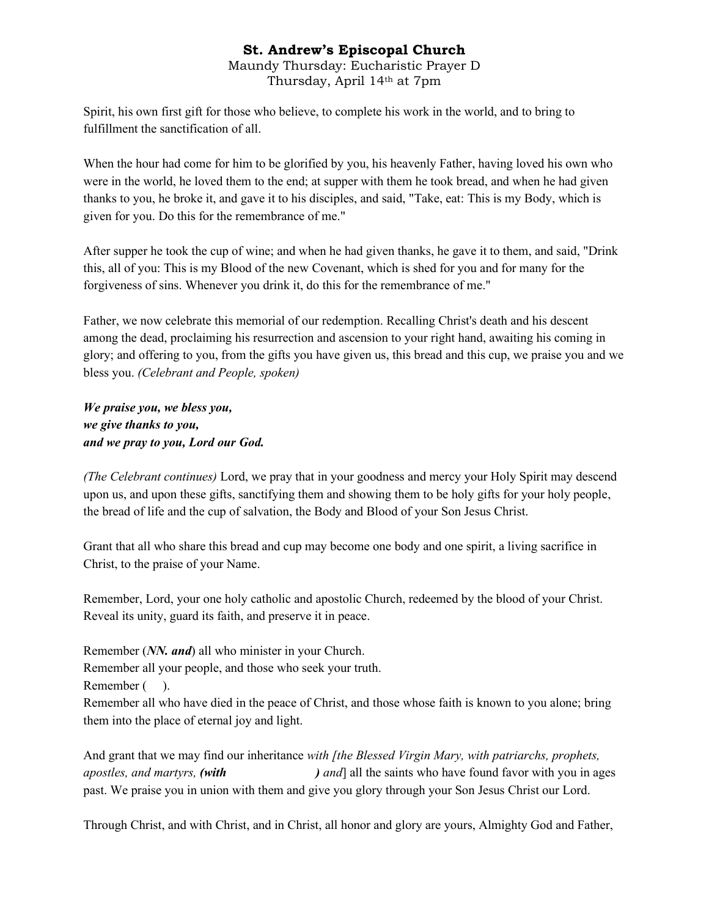Maundy Thursday: Eucharistic Prayer D Thursday, April 14th at 7pm

Spirit, his own first gift for those who believe, to complete his work in the world, and to bring to fulfillment the sanctification of all.

When the hour had come for him to be glorified by you, his heavenly Father, having loved his own who were in the world, he loved them to the end; at supper with them he took bread, and when he had given thanks to you, he broke it, and gave it to his disciples, and said, "Take, eat: This is my Body, which is given for you. Do this for the remembrance of me."

After supper he took the cup of wine; and when he had given thanks, he gave it to them, and said, "Drink this, all of you: This is my Blood of the new Covenant, which is shed for you and for many for the forgiveness of sins. Whenever you drink it, do this for the remembrance of me."

Father, we now celebrate this memorial of our redemption. Recalling Christ's death and his descent among the dead, proclaiming his resurrection and ascension to your right hand, awaiting his coming in glory; and offering to you, from the gifts you have given us, this bread and this cup, we praise you and we bless you. *(Celebrant and People, spoken)*

*We praise you, we bless you, we give thanks to you, and we pray to you, Lord our God.*

*(The Celebrant continues)* Lord, we pray that in your goodness and mercy your Holy Spirit may descend upon us, and upon these gifts, sanctifying them and showing them to be holy gifts for your holy people, the bread of life and the cup of salvation, the Body and Blood of your Son Jesus Christ.

Grant that all who share this bread and cup may become one body and one spirit, a living sacrifice in Christ, to the praise of your Name.

Remember, Lord, your one holy catholic and apostolic Church, redeemed by the blood of your Christ. Reveal its unity, guard its faith, and preserve it in peace.

Remember (*NN. and*) all who minister in your Church. Remember all your people, and those who seek your truth.

Remember ().

Remember all who have died in the peace of Christ, and those whose faith is known to you alone; bring them into the place of eternal joy and light.

And grant that we may find our inheritance *with [the Blessed Virgin Mary, with patriarchs, prophets, apostles, and martyrs, (with ) and*] all the saints who have found favor with you in ages past. We praise you in union with them and give you glory through your Son Jesus Christ our Lord.

Through Christ, and with Christ, and in Christ, all honor and glory are yours, Almighty God and Father,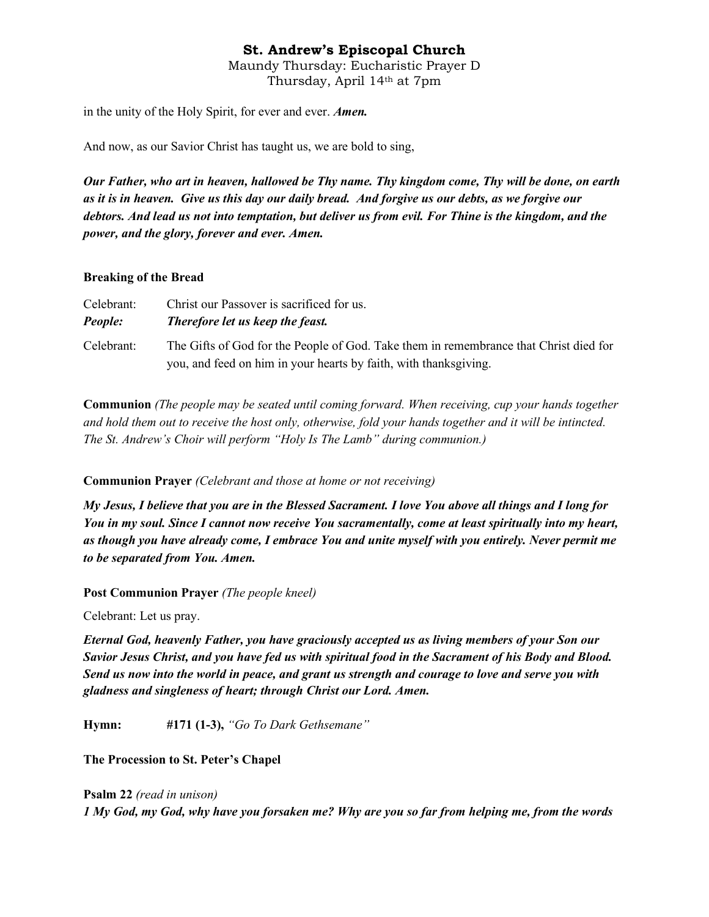Maundy Thursday: Eucharistic Prayer D Thursday, April 14th at 7pm

in the unity of the Holy Spirit, for ever and ever. *Amen.*

And now, as our Savior Christ has taught us, we are bold to sing,

*Our Father, who art in heaven, hallowed be Thy name. Thy kingdom come, Thy will be done, on earth as it is in heaven. Give us this day our daily bread. And forgive us our debts, as we forgive our debtors. And lead us not into temptation, but deliver us from evil. For Thine is the kingdom, and the power, and the glory, forever and ever. Amen.*

#### **Breaking of the Bread**

| Celebrant:     | Christ our Passover is sacrificed for us.                                             |  |
|----------------|---------------------------------------------------------------------------------------|--|
| <b>People:</b> | <b>Therefore let us keep the feast.</b>                                               |  |
| Celebrant:     | The Gifts of God for the People of God. Take them in remembrance that Christ died for |  |
|                | you, and feed on him in your hearts by faith, with thanksgiving.                      |  |

**Communion** *(The people may be seated until coming forward. When receiving, cup your hands together and hold them out to receive the host only, otherwise, fold your hands together and it will be intincted. The St. Andrew's Choir will perform "Holy Is The Lamb" during communion.)*

**Communion Prayer** *(Celebrant and those at home or not receiving)*

*My Jesus, I believe that you are in the Blessed Sacrament. I love You above all things and I long for You in my soul. Since I cannot now receive You sacramentally, come at least spiritually into my heart, as though you have already come, I embrace You and unite myself with you entirely. Never permit me to be separated from You. Amen.*

**Post Communion Prayer** *(The people kneel)*

Celebrant: Let us pray.

*Eternal God, heavenly Father, you have graciously accepted us as living members of your Son our Savior Jesus Christ, and you have fed us with spiritual food in the Sacrament of his Body and Blood. Send us now into the world in peace, and grant us strength and courage to love and serve you with gladness and singleness of heart; through Christ our Lord. Amen.*

**Hymn: #171 (1-3),** *"Go To Dark Gethsemane"*

**The Procession to St. Peter's Chapel**

**Psalm 22** *(read in unison) 1 My God, my God, why have you forsaken me? Why are you so far from helping me, from the words*